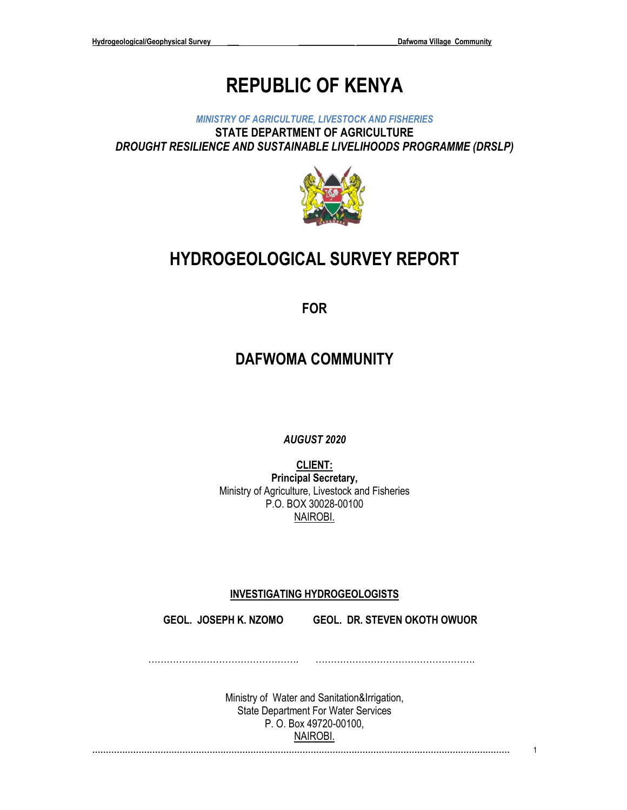# **REPUBLIC OF KENYA**

*MINISTRY OF AGRICULTURE, LIVESTOCK AND FISHERIES* **STATE DEPARTMENT OF AGRICULTURE** *DROUGHT RESILIENCE AND SUSTAINABLE LIVELIHOODS PROGRAMME (DRSLP)*



# **HYDROGEOLOGICAL SURVEY REPORT**

**FOR**

## **DAFWOMA COMMUNITY**

*AUGUST 2020*

**CLIENT: Principal Secretary,** Ministry of Agriculture, Livestock and Fisheries P.O. BOX 30028-00100 NAIROBI.

## **INVESTIGATING HYDROGEOLOGISTS**

**GEOL. JOSEPH K. NZOMO GEOL. DR. STEVEN OKOTH OWUOR**

…………………………………………. …………………………………………….

> Ministry of Water and Sanitation&Irrigation, State Department For Water Services P. O. Box 49720-00100, NAIROBI.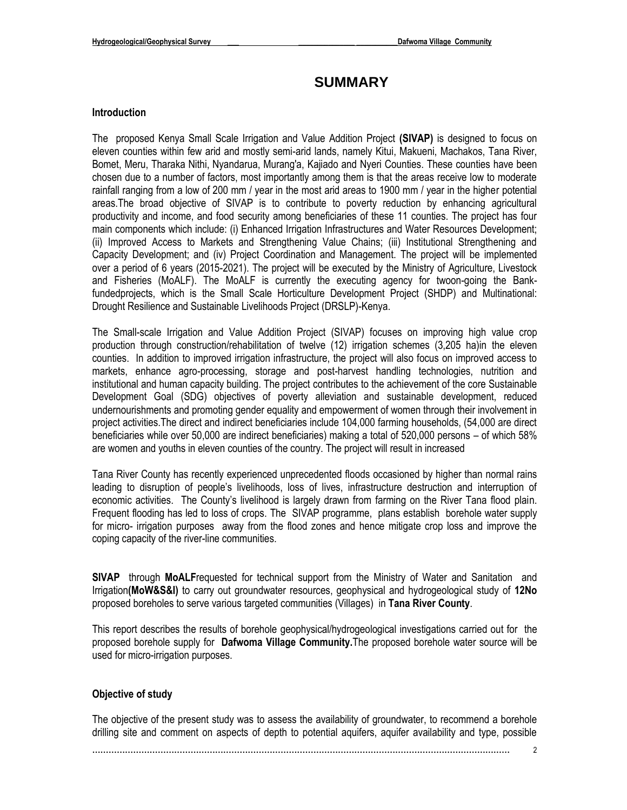## **SUMMARY**

#### **Introduction**

The proposed Kenya Small Scale Irrigation and Value Addition Project **(SIVAP)** is designed to focus on eleven counties within few arid and mostly semi-arid lands, namely Kitui, Makueni, Machakos, Tana River, Bomet, Meru, Tharaka Nithi, Nyandarua, Murang'a, Kajiado and Nyeri Counties. These counties have been chosen due to a number of factors, most importantly among them is that the areas receive low to moderate rainfall ranging from a low of 200 mm / year in the most arid areas to 1900 mm / year in the higher potential areas.The broad objective of SIVAP is to contribute to poverty reduction by enhancing agricultural productivity and income, and food security among beneficiaries of these 11 counties. The project has four main components which include: (i) Enhanced Irrigation Infrastructures and Water Resources Development; (ii) Improved Access to Markets and Strengthening Value Chains; (iii) Institutional Strengthening and Capacity Development; and (iv) Project Coordination and Management. The project will be implemented over a period of 6 years (2015-2021). The project will be executed by the Ministry of Agriculture, Livestock and Fisheries (MoALF). The MoALF is currently the executing agency for twoon-going the Bankfundedprojects, which is the Small Scale Horticulture Development Project (SHDP) and Multinational: Drought Resilience and Sustainable Livelihoods Project (DRSLP)-Kenya.

The Small-scale Irrigation and Value Addition Project (SIVAP) focuses on improving high value crop production through construction/rehabilitation of twelve (12) irrigation schemes (3,205 ha)in the eleven counties. In addition to improved irrigation infrastructure, the project will also focus on improved access to markets, enhance agro-processing, storage and post-harvest handling technologies, nutrition and institutional and human capacity building. The project contributes to the achievement of the core Sustainable Development Goal (SDG) objectives of poverty alleviation and sustainable development, reduced undernourishments and promoting gender equality and empowerment of women through their involvement in project activities.The direct and indirect beneficiaries include 104,000 farming households, (54,000 are direct beneficiaries while over 50,000 are indirect beneficiaries) making a total of 520,000 persons – of which 58% are women and youths in eleven counties of the country. The project will result in increased

Tana River County has recently experienced unprecedented floods occasioned by higher than normal rains leading to disruption of people's livelihoods, loss of lives, infrastructure destruction and interruption of economic activities. The County's livelihood is largely drawn from farming on the River Tana flood plain. Frequent flooding has led to loss of crops. The SIVAP programme, plans establish borehole water supply for micro- irrigation purposes away from the flood zones and hence mitigate crop loss and improve the coping capacity of the river-line communities.

**SIVAP** through **MoALF**requested for technical support from the Ministry of Water and Sanitation and Irrigation**(MoW&S&I)** to carry out groundwater resources, geophysical and hydrogeological study of **12No**  proposed boreholes to serve various targeted communities (Villages) in **Tana River County**.

This report describes the results of borehole geophysical/hydrogeological investigations carried out for the proposed borehole supply for **Dafwoma Village Community.**The proposed borehole water source will be used for micro-irrigation purposes.

#### **Objective of study**

The objective of the present study was to assess the availability of groundwater, to recommend a borehole drilling site and comment on aspects of depth to potential aquifers, aquifer availability and type, possible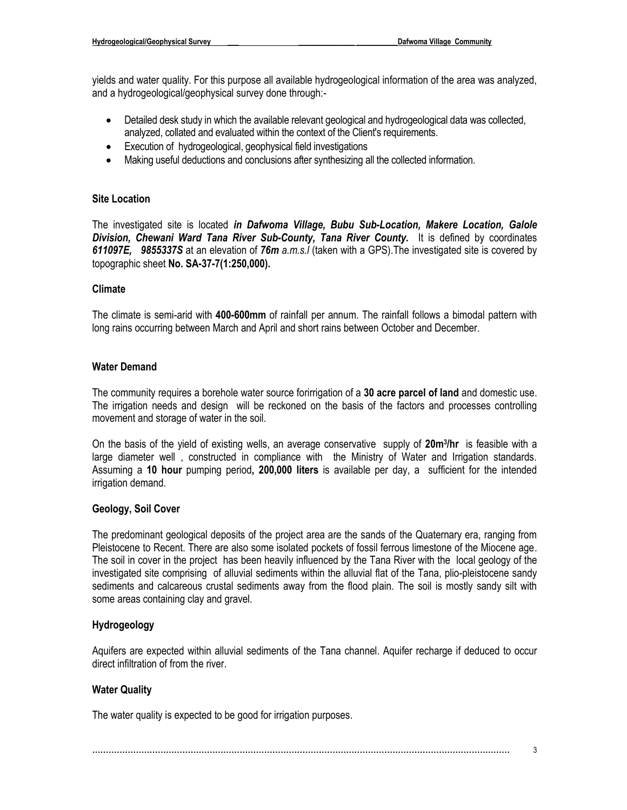yields and water quality. For this purpose all available hydrogeological information of the area was analyzed, and a hydrogeological/geophysical survey done through:-

- Detailed desk study in which the available relevant geological and hydrogeological data was collected, analyzed, collated and evaluated within the context of the Client's requirements.
- Execution of hydrogeological, geophysical field investigations
- Making useful deductions and conclusions after synthesizing all the collected information.

#### **Site Location**

The investigated site is located *in Dafwoma Village, Bubu Sub-Location, Makere Location, Galole*  **Division, Chewani Ward Tana River Sub-County, Tana River County.** It is defined by coordinates *611097E, 9855337S* at an elevation of *76m a.m.s.l* (taken with a GPS).The investigated site is covered by topographic sheet **No. SA-37-7(1:250,000).**

#### **Climate**

The climate is semi-arid with **400-600mm** of rainfall per annum. The rainfall follows a bimodal pattern with long rains occurring between March and April and short rains between October and December.

#### **Water Demand**

The community requires a borehole water source forirrigation of a **30 acre parcel of land** and domestic use. The irrigation needs and design will be reckoned on the basis of the factors and processes controlling movement and storage of water in the soil.

On the basis of the yield of existing wells, an average conservative supply of **20m<sup>3</sup> /hr** is feasible with a large diameter well , constructed in compliance with the Ministry of Water and Irrigation standards. Assuming a **10 hour** pumping period**, 200,000 liters** is available per day, a sufficient for the intended irrigation demand.

#### **Geology, Soil Cover**

The predominant geological deposits of the project area are the sands of the Quaternary era, ranging from Pleistocene to Recent. There are also some isolated pockets of fossil ferrous limestone of the Miocene age. The soil in cover in the project has been heavily influenced by the Tana River with the local geology of the investigated site comprising of alluvial sediments within the alluvial flat of the Tana, plio-pleistocene sandy sediments and calcareous crustal sediments away from the flood plain. The soil is mostly sandy silt with some areas containing clay and gravel.

#### **Hydrogeology**

Aquifers are expected within alluvial sediments of the Tana channel. Aquifer recharge if deduced to occur direct infiltration of from the river.

#### **Water Quality**

The water quality is expected to be good for irrigation purposes.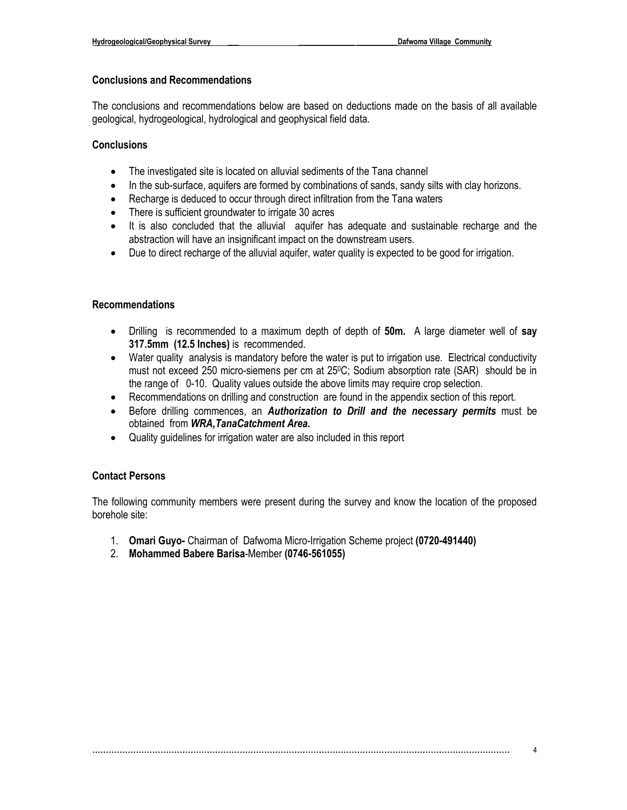#### **Conclusions and Recommendations**

The conclusions and recommendations below are based on deductions made on the basis of all available geological, hydrogeological, hydrological and geophysical field data.

#### **Conclusions**

- The investigated site is located on alluvial sediments of the Tana channel
- In the sub-surface, aquifers are formed by combinations of sands, sandy silts with clay horizons.
- Recharge is deduced to occur through direct infiltration from the Tana waters
- There is sufficient groundwater to irrigate 30 acres
- It is also concluded that the alluvial aquifer has adequate and sustainable recharge and the abstraction will have an insignificant impact on the downstream users.
- Due to direct recharge of the alluvial aquifer, water quality is expected to be good for irrigation.

#### **Recommendations**

- Drilling is recommended to a maximum depth of depth of **50m.** A large diameter well of **say 317.5mm (12.5 Inches)** is recommended.
- Water quality analysis is mandatory before the water is put to irrigation use. Electrical conductivity must not exceed 250 micro-siemens per cm at 25°C; Sodium absorption rate (SAR) should be in the range of 0-10. Quality values outside the above limits may require crop selection.
- Recommendations on drilling and construction are found in the appendix section of this report.
- Before drilling commences, an *Authorization to Drill and the necessary permits* must be obtained from *WRA,TanaCatchment Area***.**
- Quality guidelines for irrigation water are also included in this report

#### **Contact Persons**

The following community members were present during the survey and know the location of the proposed borehole site:

- 1. **Omari Guyo-** Chairman of Dafwoma Micro-Irrigation Scheme project **(0720-491440)**
- 2. **Mohammed Babere Barisa**-Member **(0746-561055)**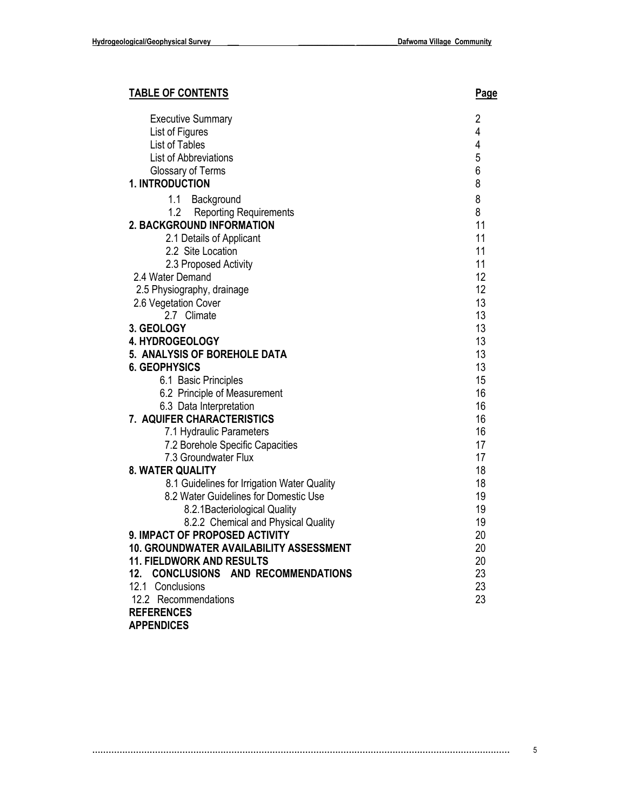## **TABLE OF CONTENTS Page**

| <b>Executive Summary</b>                       | 2              |
|------------------------------------------------|----------------|
| List of Figures                                | 4              |
| List of Tables                                 | $\overline{4}$ |
| List of Abbreviations                          | 5              |
| Glossary of Terms                              | 6              |
|                                                |                |
| 1. INTRODUCTION                                | 8              |
| 1.1 Background                                 | 8              |
| 1.2<br><b>Reporting Requirements</b>           | 8              |
| 2. BACKGROUND INFORMATION                      | 11             |
| 2.1 Details of Applicant                       | 11             |
| 2.2 Site Location                              | 11             |
| 2.3 Proposed Activity                          | 11             |
|                                                | 12             |
| 2.4 Water Demand                               |                |
| 2.5 Physiography, drainage                     | 12             |
| 2.6 Vegetation Cover                           | 13             |
| 2.7 Climate                                    | 13             |
| 3. GEOLOGY                                     | 13             |
| <b>4. HYDROGEOLOGY</b>                         | 13             |
| 5. ANALYSIS OF BOREHOLE DATA                   | 13             |
| <b>6. GEOPHYSICS</b>                           | 13             |
| 6.1 Basic Principles                           | 15             |
| 6.2 Principle of Measurement                   | 16             |
| 6.3 Data Interpretation                        | 16             |
| 7. AQUIFER CHARACTERISTICS                     | 16             |
|                                                |                |
| 7.1 Hydraulic Parameters                       | 16             |
| 7.2 Borehole Specific Capacities               | 17             |
| 7.3 Groundwater Flux                           | 17             |
| <b>8. WATER QUALITY</b>                        | 18             |
| 8.1 Guidelines for Irrigation Water Quality    | 18             |
| 8.2 Water Guidelines for Domestic Use          | 19             |
| 8.2.1 Bacteriological Quality                  | 19             |
| 8.2.2 Chemical and Physical Quality            | 19             |
| 9. IMPACT OF PROPOSED ACTIVITY                 | 20             |
| <b>10. GROUNDWATER AVAILABILITY ASSESSMENT</b> | 20             |
| <b>11. FIELDWORK AND RESULTS</b>               | 20             |
| <b>CONCLUSIONS AND RECOMMENDATIONS</b><br>12.  | 23             |
|                                                | 23             |
| 12.1 Conclusions                               |                |
| 12.2 Recommendations                           | 23             |
| <b>REFERENCES</b>                              |                |
| <b>APPENDICES</b>                              |                |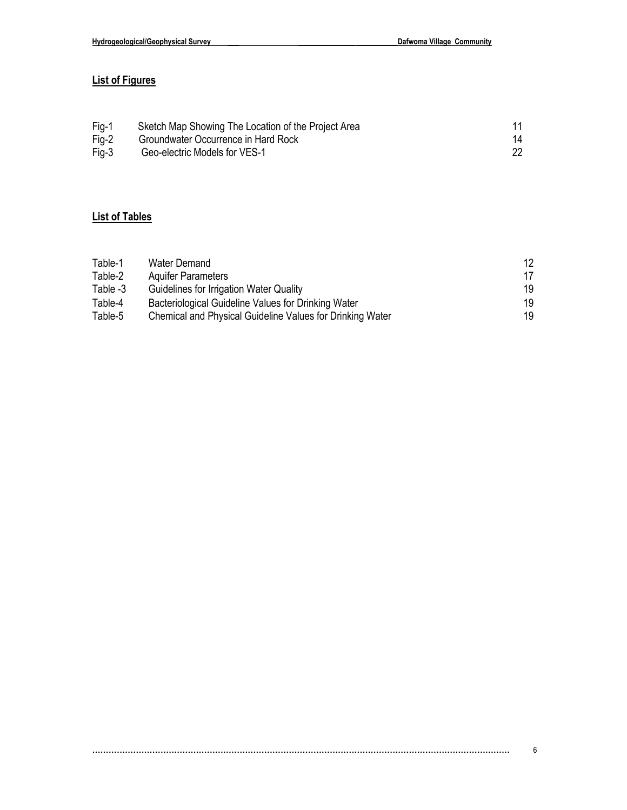## **List of Figures**

| Fig-1 | Sketch Map Showing The Location of the Project Area |    |
|-------|-----------------------------------------------------|----|
| Fig-2 | Groundwater Occurrence in Hard Rock                 | 14 |
| Fig-3 | Geo-electric Models for VES-1                       |    |

## **List of Tables**

| Table-1  | Water Demand                                              | 12. |
|----------|-----------------------------------------------------------|-----|
| Table-2  | <b>Aquifer Parameters</b>                                 | 17  |
| Table -3 | Guidelines for Irrigation Water Quality                   | 19  |
| Table-4  | Bacteriological Guideline Values for Drinking Water       | 19  |
| Table-5  | Chemical and Physical Guideline Values for Drinking Water | 19. |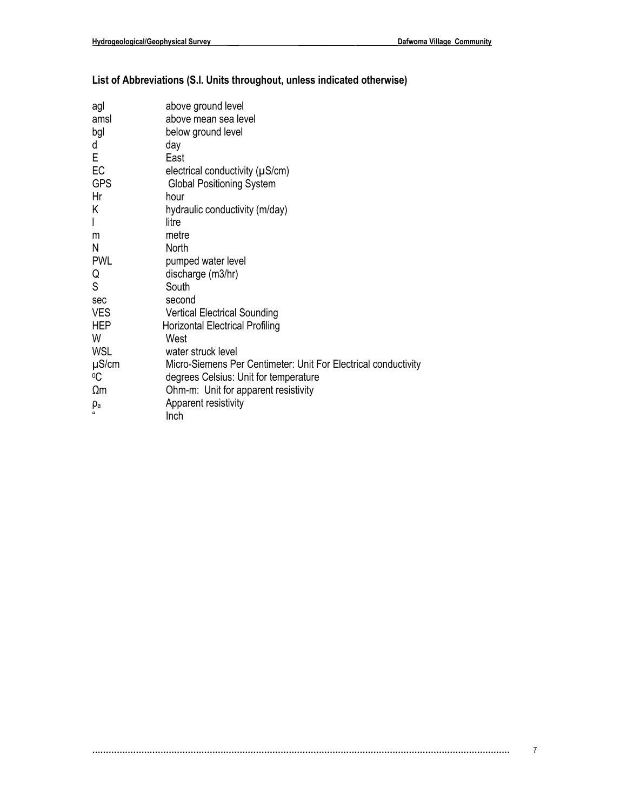## **List of Abbreviations (S.I. Units throughout, unless indicated otherwise)**

| agl           | above ground level                                             |
|---------------|----------------------------------------------------------------|
| amsl          | above mean sea level                                           |
| bgl           | below ground level                                             |
| d             | day                                                            |
| E             | East                                                           |
| EC            | electrical conductivity $(\mu S/cm)$                           |
| <b>GPS</b>    | <b>Global Positioning System</b>                               |
| Hr            | hour                                                           |
| Κ             | hydraulic conductivity (m/day)                                 |
| I             | litre                                                          |
| m             | metre                                                          |
| Ν             | North                                                          |
| <b>PWL</b>    | pumped water level                                             |
| Q             | discharge (m3/hr)                                              |
| S             | South                                                          |
| sec           | second                                                         |
| <b>VES</b>    | <b>Vertical Electrical Sounding</b>                            |
| <b>HEP</b>    | <b>Horizontal Electrical Profiling</b>                         |
| W             | West                                                           |
| <b>WSL</b>    | water struck level                                             |
| $\mu$ S/cm    | Micro-Siemens Per Centimeter: Unit For Electrical conductivity |
| $\mathrm{O}C$ | degrees Celsius: Unit for temperature                          |
| $\Omega$ m    | Ohm-m: Unit for apparent resistivity                           |
| $\rho_a$      | Apparent resistivity                                           |
|               | Inch                                                           |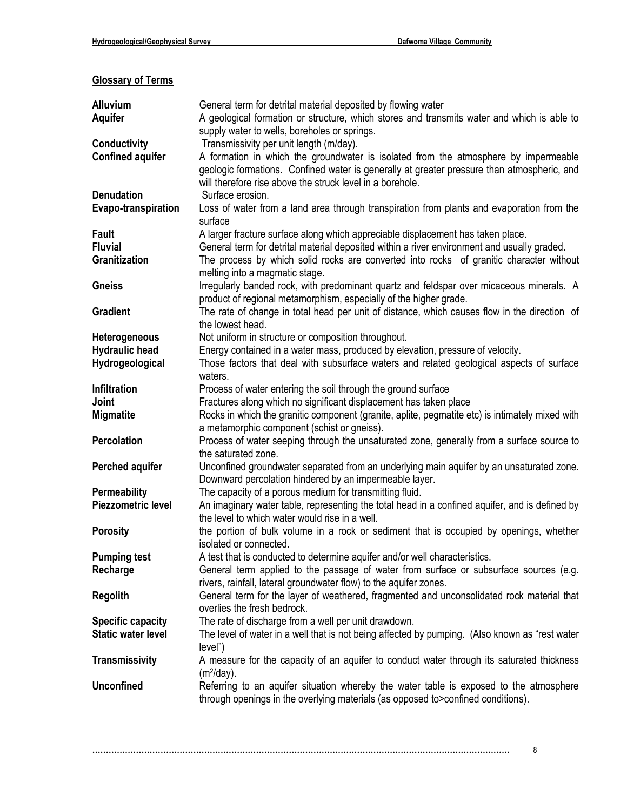## **Glossary of Terms**

| <b>Alluvium</b>            | General term for detrital material deposited by flowing water                                                                                           |
|----------------------------|---------------------------------------------------------------------------------------------------------------------------------------------------------|
| <b>Aquifer</b>             | A geological formation or structure, which stores and transmits water and which is able to                                                              |
|                            | supply water to wells, boreholes or springs.                                                                                                            |
| <b>Conductivity</b>        | Transmissivity per unit length (m/day).                                                                                                                 |
| <b>Confined aquifer</b>    | A formation in which the groundwater is isolated from the atmosphere by impermeable                                                                     |
|                            | geologic formations. Confined water is generally at greater pressure than atmospheric, and<br>will therefore rise above the struck level in a borehole. |
| <b>Denudation</b>          | Surface erosion.                                                                                                                                        |
| <b>Evapo-transpiration</b> | Loss of water from a land area through transpiration from plants and evaporation from the                                                               |
|                            | surface                                                                                                                                                 |
| <b>Fault</b>               | A larger fracture surface along which appreciable displacement has taken place.                                                                         |
| <b>Fluvial</b>             | General term for detrital material deposited within a river environment and usually graded.                                                             |
| Granitization              | The process by which solid rocks are converted into rocks of granitic character without                                                                 |
|                            | melting into a magmatic stage.                                                                                                                          |
| <b>Gneiss</b>              | Irregularly banded rock, with predominant quartz and feldspar over micaceous minerals. A                                                                |
|                            | product of regional metamorphism, especially of the higher grade.                                                                                       |
| <b>Gradient</b>            | The rate of change in total head per unit of distance, which causes flow in the direction of                                                            |
|                            | the lowest head.                                                                                                                                        |
| Heterogeneous              | Not uniform in structure or composition throughout.                                                                                                     |
| <b>Hydraulic head</b>      | Energy contained in a water mass, produced by elevation, pressure of velocity.                                                                          |
| Hydrogeological            | Those factors that deal with subsurface waters and related geological aspects of surface<br>waters.                                                     |
| <b>Infiltration</b>        | Process of water entering the soil through the ground surface                                                                                           |
| Joint                      | Fractures along which no significant displacement has taken place                                                                                       |
| <b>Migmatite</b>           | Rocks in which the granitic component (granite, aplite, pegmatite etc) is intimately mixed with                                                         |
|                            | a metamorphic component (schist or gneiss).                                                                                                             |
| Percolation                | Process of water seeping through the unsaturated zone, generally from a surface source to                                                               |
|                            | the saturated zone.                                                                                                                                     |
| Perched aquifer            | Unconfined groundwater separated from an underlying main aquifer by an unsaturated zone.                                                                |
|                            | Downward percolation hindered by an impermeable layer.                                                                                                  |
| <b>Permeability</b>        | The capacity of a porous medium for transmitting fluid.                                                                                                 |
| <b>Piezzometric level</b>  | An imaginary water table, representing the total head in a confined aquifer, and is defined by                                                          |
|                            | the level to which water would rise in a well.                                                                                                          |
| <b>Porosity</b>            | the portion of bulk volume in a rock or sediment that is occupied by openings, whether<br>isolated or connected.                                        |
| <b>Pumping test</b>        | A test that is conducted to determine aquifer and/or well characteristics.                                                                              |
| Recharge                   | General term applied to the passage of water from surface or subsurface sources (e.g.                                                                   |
|                            | rivers, rainfall, lateral groundwater flow) to the aquifer zones.                                                                                       |
| <b>Regolith</b>            | General term for the layer of weathered, fragmented and unconsolidated rock material that                                                               |
|                            | overlies the fresh bedrock.                                                                                                                             |
| <b>Specific capacity</b>   | The rate of discharge from a well per unit drawdown.                                                                                                    |
| <b>Static water level</b>  | The level of water in a well that is not being affected by pumping. (Also known as "rest water                                                          |
|                            | level")                                                                                                                                                 |
| <b>Transmissivity</b>      | A measure for the capacity of an aquifer to conduct water through its saturated thickness                                                               |
|                            | (m <sup>2</sup> /day).                                                                                                                                  |
| <b>Unconfined</b>          | Referring to an aquifer situation whereby the water table is exposed to the atmosphere                                                                  |
|                            | through openings in the overlying materials (as opposed to>confined conditions).                                                                        |
|                            |                                                                                                                                                         |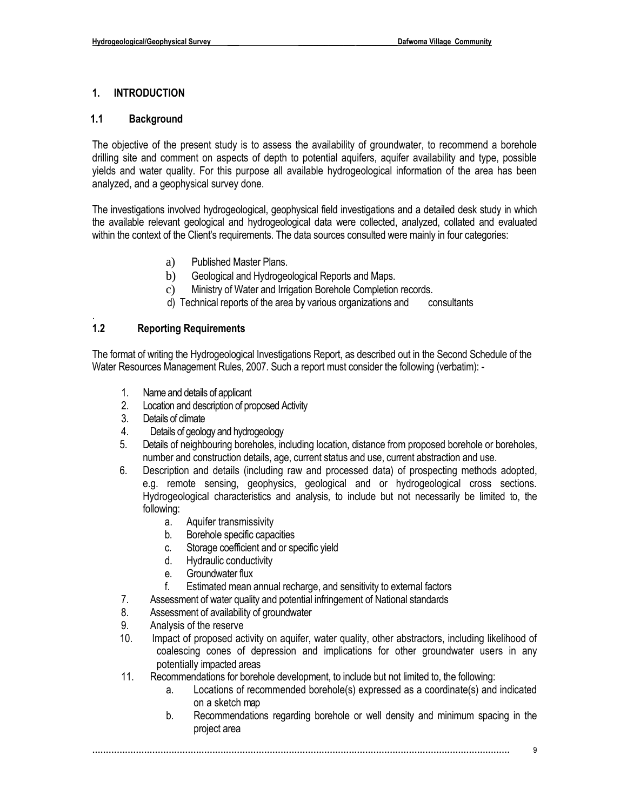#### **1. INTRODUCTION**

#### **1.1 Background**

The objective of the present study is to assess the availability of groundwater, to recommend a borehole drilling site and comment on aspects of depth to potential aquifers, aquifer availability and type, possible yields and water quality. For this purpose all available hydrogeological information of the area has been analyzed, and a geophysical survey done.

The investigations involved hydrogeological, geophysical field investigations and a detailed desk study in which the available relevant geological and hydrogeological data were collected, analyzed, collated and evaluated within the context of the Client's requirements. The data sources consulted were mainly in four categories:

- a) Published Master Plans.
- b) Geological and Hydrogeological Reports and Maps.
- c) Ministry of Water and Irrigation Borehole Completion records.
- d) Technical reports of the area by various organizations and consultants

#### . **1.2 Reporting Requirements**

The format of writing the Hydrogeological Investigations Report, as described out in the Second Schedule of the Water Resources Management Rules, 2007. Such a report must consider the following (verbatim): -

- 1. Name and details of applicant
- 2. Location and description of proposed Activity
- 3. Details of climate
- 4. Details of geology and hydrogeology
- 5. Details of neighbouring boreholes, including location, distance from proposed borehole or boreholes, number and construction details, age, current status and use, current abstraction and use.
- 6. Description and details (including raw and processed data) of prospecting methods adopted, e.g. remote sensing, geophysics, geological and or hydrogeological cross sections. Hydrogeological characteristics and analysis, to include but not necessarily be limited to, the following:
	- a. Aquifer transmissivity
	- b. Borehole specific capacities
	- c. Storage coefficient and or specific yield
	- d. Hydraulic conductivity
	- e. Groundwater flux
	- f. Estimated mean annual recharge, and sensitivity to external factors
- 7. Assessment of water quality and potential infringement of National standards
- 8. Assessment of availability of groundwater
- 9. Analysis of the reserve
- 10. Impact of proposed activity on aquifer, water quality, other abstractors, including likelihood of coalescing cones of depression and implications for other groundwater users in any potentially impacted areas
- 11. Recommendations for borehole development, to include but not limited to, the following:
	- a. Locations of recommended borehole(s) expressed as a coordinate(s) and indicated on a sketch map
	- b. Recommendations regarding borehole or well density and minimum spacing in the project area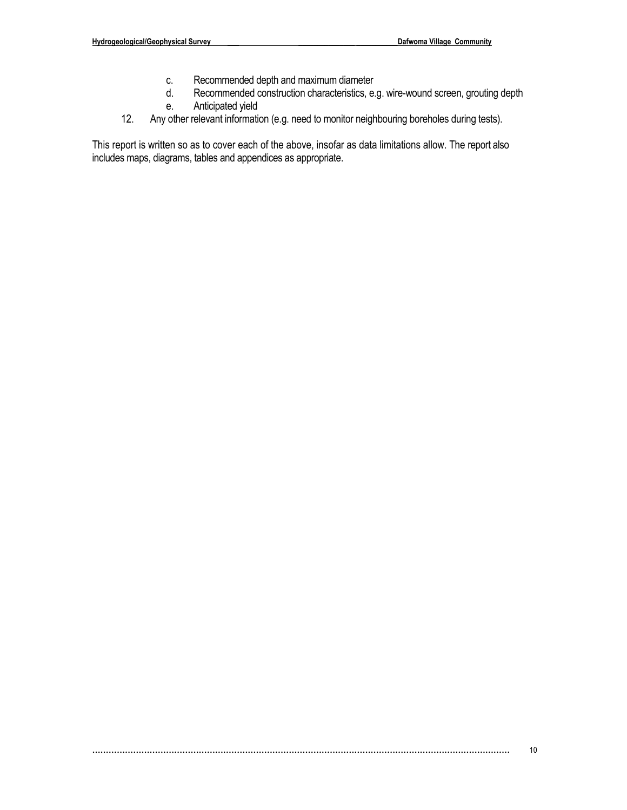- c. Recommended depth and maximum diameter
- d. Recommended construction characteristics, e.g. wire-wound screen, grouting depth e. Anticipated yield
- 12. Any other relevant information (e.g. need to monitor neighbouring boreholes during tests).

This report is written so as to cover each of the above, insofar as data limitations allow. The report also includes maps, diagrams, tables and appendices as appropriate.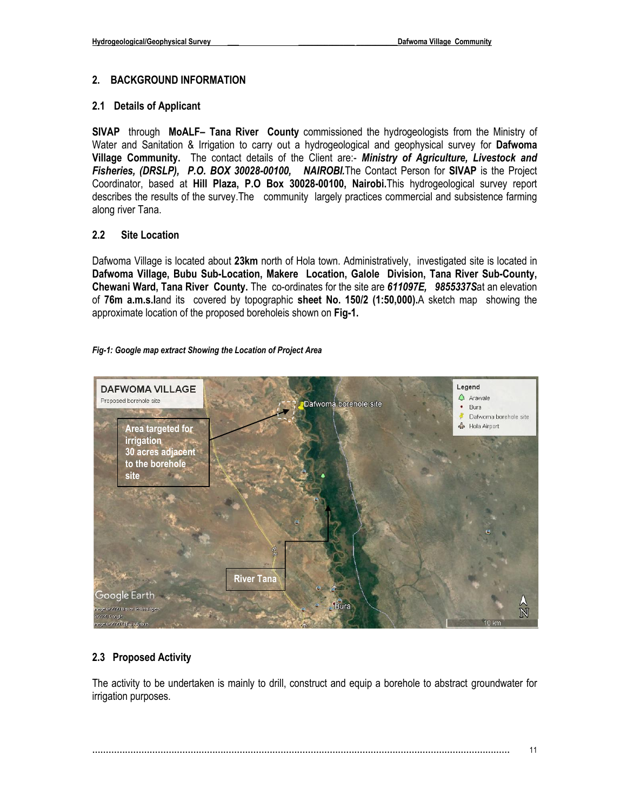#### **2. BACKGROUND INFORMATION**

#### **2.1 Details of Applicant**

**SIVAP** through **MoALF– Tana River County** commissioned the hydrogeologists from the Ministry of Water and Sanitation & Irrigation to carry out a hydrogeological and geophysical survey for **Dafwoma Village Community.** The contact details of the Client are:- *Ministry of Agriculture, Livestock and Fisheries, (DRSLP), P.O. BOX 30028-00100, NAIROBI.*The Contact Person for **SIVAP** is the Project Coordinator, based at **Hill Plaza, P.O Box 30028-00100, Nairobi.**This hydrogeological survey report describes the results of the survey.The community largely practices commercial and subsistence farming along river Tana.

#### **2.2 Site Location**

Dafwoma Village is located about **23km** north of Hola town. Administratively, investigated site is located in **Dafwoma Village, Bubu Sub-Location, Makere Location, Galole Division, Tana River Sub-County, Chewani Ward, Tana River County.** The co-ordinates for the site are *611097E, 9855337S*at an elevation of **76m a.m.s.l**and its covered by topographic **sheet No. 150/2 (1:50,000).**A sketch map showing the approximate location of the proposed boreholeis shown on **Fig-1.**

#### *Fig-1: Google map extract Showing the Location of Project Area*



#### **2.3 Proposed Activity**

The activity to be undertaken is mainly to drill, construct and equip a borehole to abstract groundwater for irrigation purposes.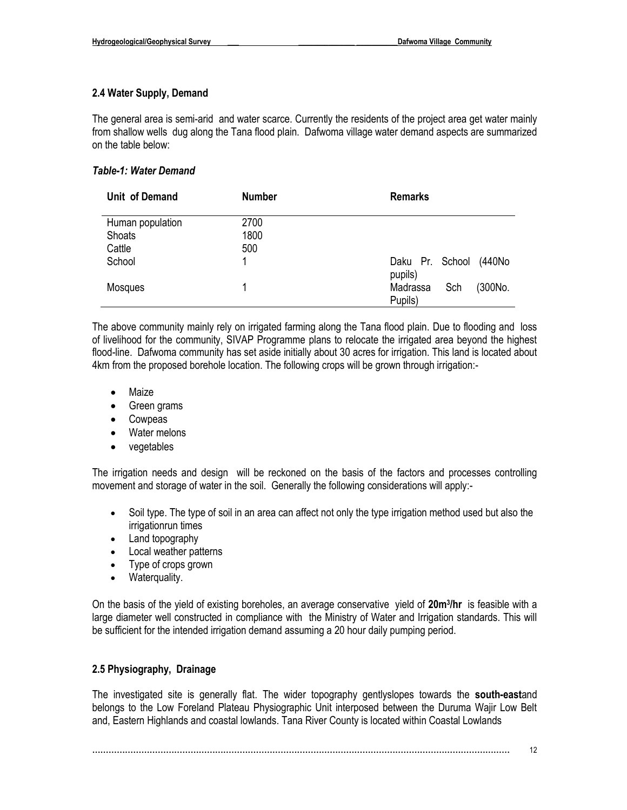#### **2.4 Water Supply, Demand**

The general area is semi-arid and water scarce. Currently the residents of the project area get water mainly from shallow wells dug along the Tana flood plain. Dafwoma village water demand aspects are summarized on the table below:

#### *Table-1: Water Demand*

| Unit of Demand   | <b>Number</b> | <b>Remarks</b>                        |
|------------------|---------------|---------------------------------------|
| Human population | 2700          |                                       |
| Shoats           | 1800          |                                       |
| Cattle           | 500           |                                       |
| School           |               | Daku Pr. School<br>(440No<br>pupils)  |
| <b>Mosques</b>   |               | (300No.<br>Sch<br>Madrassa<br>Pupils) |

The above community mainly rely on irrigated farming along the Tana flood plain. Due to flooding and loss of livelihood for the community, SIVAP Programme plans to relocate the irrigated area beyond the highest flood-line. Dafwoma community has set aside initially about 30 acres for irrigation. This land is located about 4km from the proposed borehole location. The following crops will be grown through irrigation:-

- Maize
- Green grams
- Cowpeas
- Water melons
- vegetables

The irrigation needs and design will be reckoned on the basis of the factors and processes controlling movement and storage of water in the soil. Generally the following considerations will apply:-

- Soil type. The type of soil in an area can affect not only the type irrigation method used but also the irrigationrun times
- Land topography
- Local weather patterns
- Type of crops grown
- Waterquality.

On the basis of the yield of existing boreholes, an average conservative yield of **20m<sup>3</sup> /hr** is feasible with a large diameter well constructed in compliance with the Ministry of Water and Irrigation standards. This will be sufficient for the intended irrigation demand assuming a 20 hour daily pumping period.

#### **2.5 Physiography, Drainage**

The investigated site is generally flat. The wider topography gentlyslopes towards the **south-east**and belongs to the Low Foreland Plateau Physiographic Unit interposed between the Duruma Wajir Low Belt and, Eastern Highlands and coastal lowlands. Tana River County is located within Coastal Lowlands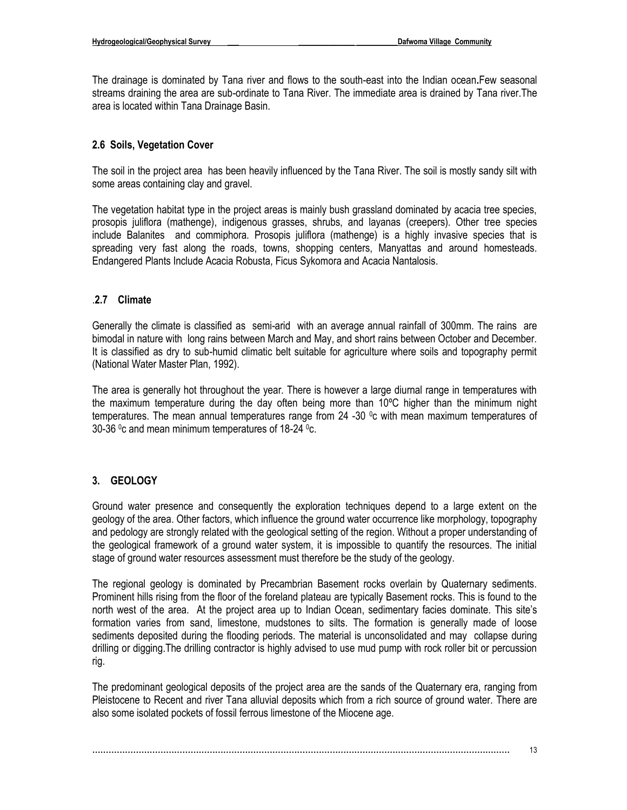The drainage is dominated by Tana river and flows to the south-east into the Indian ocean**.**Few seasonal streams draining the area are sub-ordinate to Tana River. The immediate area is drained by Tana river.The area is located within Tana Drainage Basin.

#### **2.6 Soils, Vegetation Cover**

The soil in the project area has been heavily influenced by the Tana River. The soil is mostly sandy silt with some areas containing clay and gravel.

The vegetation habitat type in the project areas is mainly bush grassland dominated by acacia tree species, prosopis juliflora (mathenge), indigenous grasses, shrubs, and layanas (creepers). Other tree species include Balanites and commiphora. Prosopis juliflora (mathenge) is a highly invasive species that is spreading very fast along the roads, towns, shopping centers, Manyattas and around homesteads. Endangered Plants Include Acacia Robusta, Ficus Sykomora and Acacia Nantalosis.

#### .**2.7 Climate**

Generally the climate is classified as semi-arid with an average annual rainfall of 300mm. The rains are bimodal in nature with long rains between March and May, and short rains between October and December. It is classified as dry to sub-humid climatic belt suitable for agriculture where soils and topography permit (National Water Master Plan, 1992).

The area is generally hot throughout the year. There is however a large diurnal range in temperatures with the maximum temperature during the day often being more than 10ºC higher than the minimum night temperatures. The mean annual temperatures range from  $24 -30$  °c with mean maximum temperatures of 30-36  $\degree$ c and mean minimum temperatures of 18-24  $\degree$ c.

## **3. GEOLOGY**

Ground water presence and consequently the exploration techniques depend to a large extent on the geology of the area. Other factors, which influence the ground water occurrence like morphology, topography and pedology are strongly related with the geological setting of the region. Without a proper understanding of the geological framework of a ground water system, it is impossible to quantify the resources. The initial stage of ground water resources assessment must therefore be the study of the geology.

The regional geology is dominated by Precambrian Basement rocks overlain by Quaternary sediments. Prominent hills rising from the floor of the foreland plateau are typically Basement rocks. This is found to the north west of the area. At the project area up to Indian Ocean, sedimentary facies dominate. This site's formation varies from sand, limestone, mudstones to silts. The formation is generally made of loose sediments deposited during the flooding periods. The material is unconsolidated and may collapse during drilling or digging.The drilling contractor is highly advised to use mud pump with rock roller bit or percussion rig.

The predominant geological deposits of the project area are the sands of the Quaternary era, ranging from Pleistocene to Recent and river Tana alluvial deposits which from a rich source of ground water. There are also some isolated pockets of fossil ferrous limestone of the Miocene age.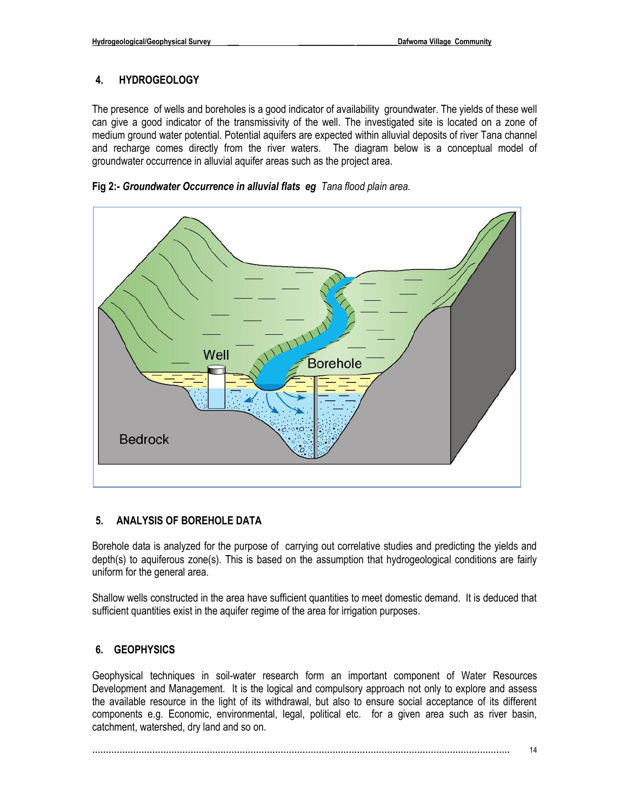#### **4. HYDROGEOLOGY**

The presence of wells and boreholes is a good indicator of availability groundwater. The yields of these well can give a good indicator of the transmissivity of the well. The investigated site is located on a zone of medium ground water potential. Potential aquifers are expected within alluvial deposits of river Tana channel and recharge comes directly from the river waters. The diagram below is a conceptual model of groundwater occurrence in alluvial aquifer areas such as the project area.





#### **5. ANALYSIS OF BOREHOLE DATA**

Borehole data is analyzed for the purpose of carrying out correlative studies and predicting the yields and depth(s) to aquiferous zone(s). This is based on the assumption that hydrogeological conditions are fairly uniform for the general area.

Shallow wells constructed in the area have sufficient quantities to meet domestic demand. It is deduced that sufficient quantities exist in the aquifer regime of the area for irrigation purposes.

#### **6. GEOPHYSICS**

Geophysical techniques in soil-water research form an important component of Water Resources Development and Management. It is the logical and compulsory approach not only to explore and assess the available resource in the light of its withdrawal, but also to ensure social acceptance of its different components e.g. Economic, environmental, legal, political etc. for a given area such as river basin, catchment, watershed, dry land and so on.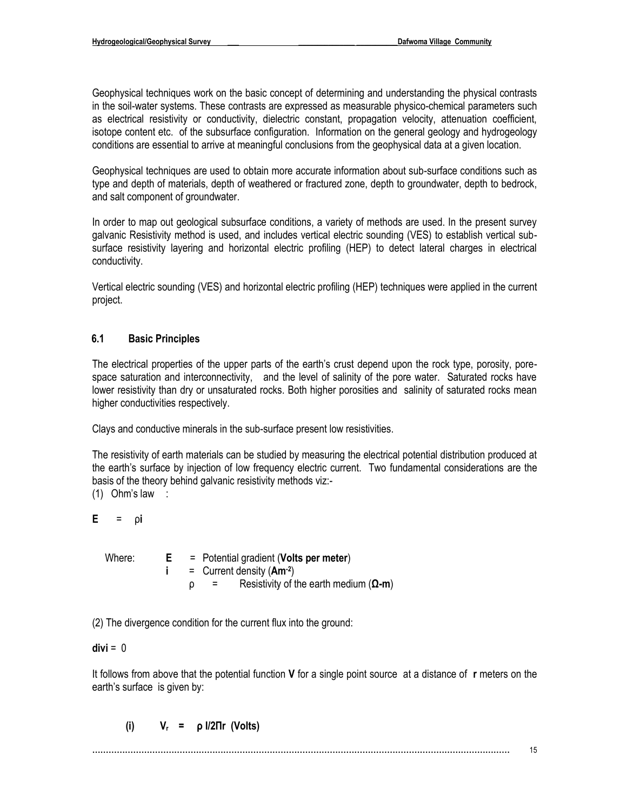Geophysical techniques work on the basic concept of determining and understanding the physical contrasts in the soil-water systems. These contrasts are expressed as measurable physico-chemical parameters such as electrical resistivity or conductivity, dielectric constant, propagation velocity, attenuation coefficient, isotope content etc. of the subsurface configuration. Information on the general geology and hydrogeology conditions are essential to arrive at meaningful conclusions from the geophysical data at a given location.

Geophysical techniques are used to obtain more accurate information about sub-surface conditions such as type and depth of materials, depth of weathered or fractured zone, depth to groundwater, depth to bedrock, and salt component of groundwater.

In order to map out geological subsurface conditions, a variety of methods are used. In the present survey galvanic Resistivity method is used, and includes vertical electric sounding (VES) to establish vertical subsurface resistivity layering and horizontal electric profiling (HEP) to detect lateral charges in electrical conductivity.

Vertical electric sounding (VES) and horizontal electric profiling (HEP) techniques were applied in the current project.

#### **6.1 Basic Principles**

The electrical properties of the upper parts of the earth's crust depend upon the rock type, porosity, porespace saturation and interconnectivity, and the level of salinity of the pore water. Saturated rocks have lower resistivity than dry or unsaturated rocks. Both higher porosities and salinity of saturated rocks mean higher conductivities respectively.

Clays and conductive minerals in the sub-surface present low resistivities.

The resistivity of earth materials can be studied by measuring the electrical potential distribution produced at the earth's surface by injection of low frequency electric current. Two fundamental considerations are the basis of the theory behind galvanic resistivity methods viz:-

(1) Ohm's law :

**E** = ρ**i** 

| Where: |  | $=$ Potential gradient (Volts per meter)              |
|--------|--|-------------------------------------------------------|
|        |  | $=$ Current density (Am <sup>-2</sup> )               |
|        |  | Resistivity of the earth medium $(\Omega - m)$<br>$=$ |

(2) The divergence condition for the current flux into the ground:

#### **divi** = 0

It follows from above that the potential function **V** for a single point source at a distance of **r** meters on the earth's surface is given by:

 **(i) Vr = ρ I/2Πr (Volts)**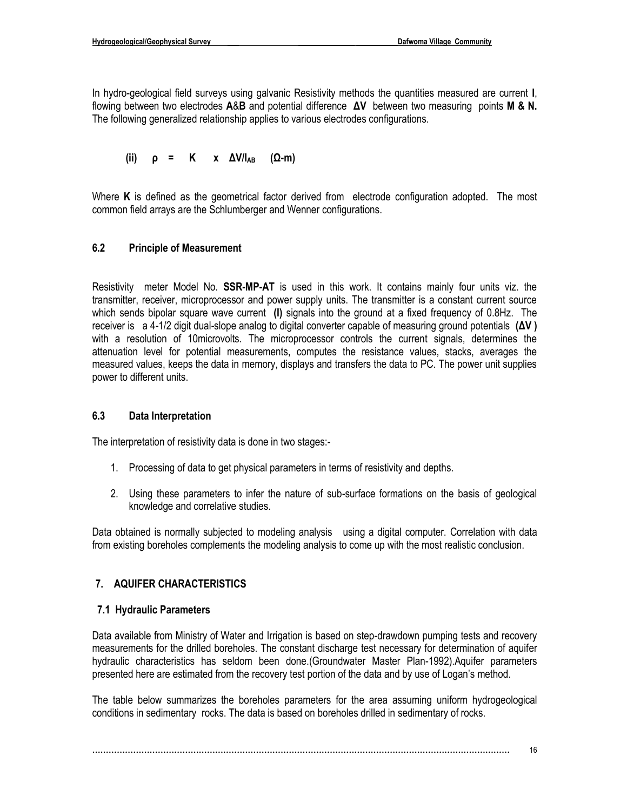In hydro-geological field surveys using galvanic Resistivity methods the quantities measured are current **I**, flowing between two electrodes **A**&**B** and potential difference **ΔV** between two measuring points **M & N.** The following generalized relationship applies to various electrodes configurations.

(ii) 
$$
\rho = K \times \Delta V/I_{AB}
$$
 ( $\Omega$ -m)

Where **K** is defined as the geometrical factor derived from electrode configuration adopted. The most common field arrays are the Schlumberger and Wenner configurations.

#### **6.2 Principle of Measurement**

Resistivity meter Model No. **SSR-MP-AT** is used in this work. It contains mainly four units viz. the transmitter, receiver, microprocessor and power supply units. The transmitter is a constant current source which sends bipolar square wave current **(I)** signals into the ground at a fixed frequency of 0.8Hz. The receiver is a 4-1/2 digit dual-slope analog to digital converter capable of measuring ground potentials **(ΔV )**  with a resolution of 10microvolts. The microprocessor controls the current signals, determines the attenuation level for potential measurements, computes the resistance values, stacks, averages the measured values, keeps the data in memory, displays and transfers the data to PC. The power unit supplies power to different units.

#### **6.3 Data Interpretation**

The interpretation of resistivity data is done in two stages:-

- 1. Processing of data to get physical parameters in terms of resistivity and depths.
- 2. Using these parameters to infer the nature of sub-surface formations on the basis of geological knowledge and correlative studies.

Data obtained is normally subjected to modeling analysis using a digital computer. Correlation with data from existing boreholes complements the modeling analysis to come up with the most realistic conclusion.

#### **7. AQUIFER CHARACTERISTICS**

#### **7.1 Hydraulic Parameters**

Data available from Ministry of Water and Irrigation is based on step-drawdown pumping tests and recovery measurements for the drilled boreholes. The constant discharge test necessary for determination of aquifer hydraulic characteristics has seldom been done.(Groundwater Master Plan-1992).Aquifer parameters presented here are estimated from the recovery test portion of the data and by use of Logan's method.

The table below summarizes the boreholes parameters for the area assuming uniform hydrogeological conditions in sedimentary rocks. The data is based on boreholes drilled in sedimentary of rocks.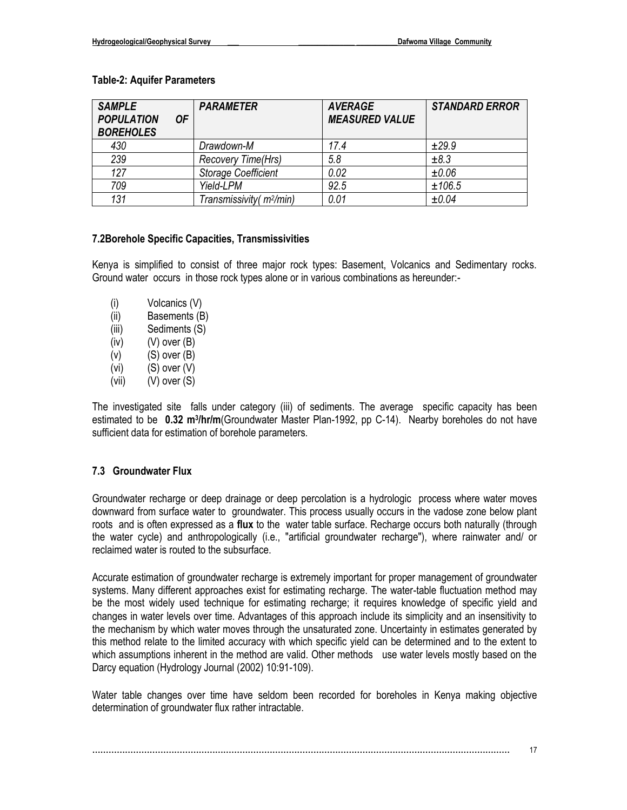#### **Table-2: Aquifer Parameters**

| <b>SAMPLE</b><br><b>POPULATION</b><br><b>BOREHOLES</b> | 0F | <b>PARAMETER</b>                     | <b>AVERAGE</b><br><b>MEASURED VALUE</b> | <b>STANDARD ERROR</b> |
|--------------------------------------------------------|----|--------------------------------------|-----------------------------------------|-----------------------|
| 430                                                    |    | Drawdown-M                           | 17.4                                    | ±29.9                 |
| 239                                                    |    | Recovery Time(Hrs)                   | 5.8                                     | ±8.3                  |
| 127                                                    |    | <b>Storage Coefficient</b>           | 0.02                                    | $\pm 0.06$            |
| 709                                                    |    | Yield-LPM                            | 92.5                                    | ±106.5                |
| 131                                                    |    | Transmissivity (m <sup>2</sup> /min) | 0.01                                    | ±0.04                 |

#### **7.2Borehole Specific Capacities, Transmissivities**

Kenya is simplified to consist of three major rock types: Basement, Volcanics and Sedimentary rocks. Ground water occurs in those rock types alone or in various combinations as hereunder:-

- (i) Volcanics (V) (ii) Basements (B) (iii) Sediments (S)  $(iv)$   $(V)$  over  $(B)$  $(v)$   $(S)$  over  $(B)$  $(vi)$  (S) over  $(V)$
- (vii) (V) over (S)

The investigated site falls under category (iii) of sediments. The average specific capacity has been estimated to be **0.32 m<sup>3</sup> /hr/m**(Groundwater Master Plan-1992, pp C-14). Nearby boreholes do not have sufficient data for estimation of borehole parameters.

#### **7.3 Groundwater Flux**

Groundwater recharge or deep drainage or deep percolation is a hydrologic process where water moves downward from surface water to groundwater. This process usually occurs in the vadose zone below plant roots and is often expressed as a **flux** to the water table surface. Recharge occurs both naturally (through the water cycle) and anthropologically (i.e., "artificial groundwater recharge"), where rainwater and/ or reclaimed water is routed to the subsurface.

Accurate estimation of groundwater recharge is extremely important for proper management of groundwater systems. Many different approaches exist for estimating recharge. The water-table fluctuation method may be the most widely used technique for estimating recharge; it requires knowledge of specific yield and changes in water levels over time. Advantages of this approach include its simplicity and an insensitivity to the mechanism by which water moves through the unsaturated zone. Uncertainty in estimates generated by this method relate to the limited accuracy with which specific yield can be determined and to the extent to which assumptions inherent in the method are valid. Other methods use water levels mostly based on the Darcy equation (Hydrology Journal (2002) 10:91-109).

Water table changes over time have seldom been recorded for boreholes in Kenya making objective determination of groundwater flux rather intractable.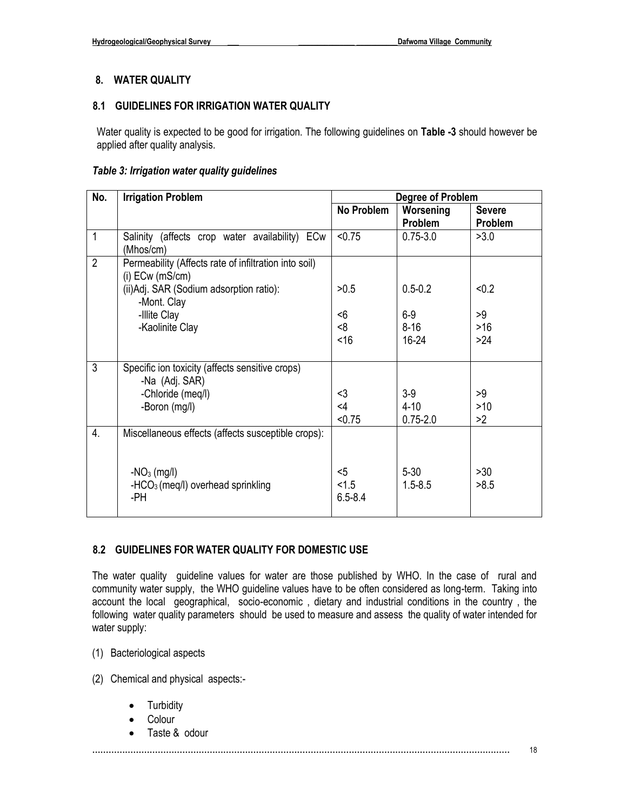#### **8. WATER QUALITY**

#### **8.1 GUIDELINES FOR IRRIGATION WATER QUALITY**

Water quality is expected to be good for irrigation. The following guidelines on **Table -3** should however be applied after quality analysis.

#### *Table 3: Irrigation water quality guidelines*

| No.              | <b>Irrigation Problem</b>                                                  | <b>Degree of Problem</b>      |                         |               |
|------------------|----------------------------------------------------------------------------|-------------------------------|-------------------------|---------------|
|                  |                                                                            | No Problem                    | Worsening               | <b>Severe</b> |
|                  |                                                                            |                               | Problem                 | Problem       |
| $\mathbf 1$      | Salinity (affects crop water availability) ECw<br>(Mhos/cm)                | < 0.75                        | $0.75 - 3.0$            | >3.0          |
| $\overline{2}$   | Permeability (Affects rate of infiltration into soil)<br>$(i)$ ECw (mS/cm) |                               |                         |               |
|                  | (ii) Adj. SAR (Sodium adsorption ratio):<br>-Mont. Clay                    | >0.5                          | $0.5 - 0.2$             | < 0.2         |
|                  | -Illite Clay                                                               | -6                            | $6-9$                   | >9            |
|                  | -Kaolinite Clay                                                            | 8<                            | $8 - 16$                | $>16$         |
|                  |                                                                            | <16                           | $16 - 24$               | $>24$         |
|                  |                                                                            |                               |                         |               |
| 3                | Specific ion toxicity (affects sensitive crops)                            |                               |                         |               |
|                  | -Na (Adj. SAR)                                                             |                               |                         |               |
|                  | -Chloride (meq/l)                                                          | $3$                           | $3-9$                   | >9            |
|                  | -Boron (mg/l)                                                              | $<$ 4                         | $4 - 10$                | >10           |
|                  |                                                                            | < 0.75                        | $0.75 - 2.0$            | >2            |
| $\overline{4}$ . | Miscellaneous effects (affects susceptible crops):                         |                               |                         |               |
|                  | $-NO_3$ (mg/l)<br>$-HCO3$ (meg/l) overhead sprinkling<br>-PH               | $<$ 5<br>< 1.5<br>$6.5 - 8.4$ | $5 - 30$<br>$1.5 - 8.5$ | >30<br>>8.5   |

#### **8.2 GUIDELINES FOR WATER QUALITY FOR DOMESTIC USE**

The water quality guideline values for water are those published by WHO. In the case of rural and community water supply, the WHO guideline values have to be often considered as long-term. Taking into account the local geographical, socio-economic , dietary and industrial conditions in the country , the following water quality parameters should be used to measure and assess the quality of water intended for water supply:

(1) Bacteriological aspects

(2) Chemical and physical aspects:-

- Turbidity
- Colour
- Taste & odour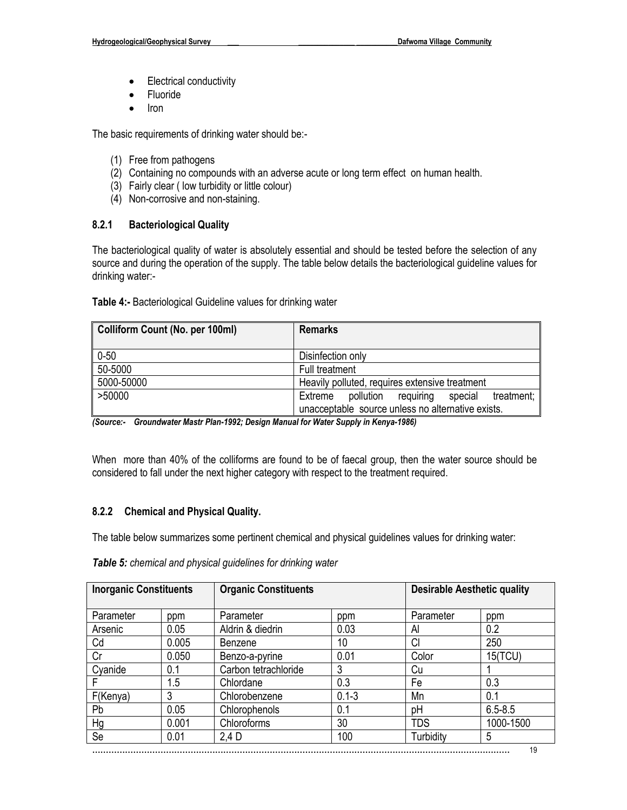- Electrical conductivity
- Fluoride
- Iron

The basic requirements of drinking water should be:-

- (1) Free from pathogens
- (2) Containing no compounds with an adverse acute or long term effect on human health.
- (3) Fairly clear ( low turbidity or little colour)
- (4) Non-corrosive and non-staining.

#### **8.2.1 Bacteriological Quality**

The bacteriological quality of water is absolutely essential and should be tested before the selection of any source and during the operation of the supply. The table below details the bacteriological guideline values for drinking water:-

| Colliform Count (No. per 100ml) | <b>Remarks</b>                                       |  |  |  |
|---------------------------------|------------------------------------------------------|--|--|--|
| $0 - 50$                        | Disinfection only                                    |  |  |  |
| 50-5000                         | Full treatment                                       |  |  |  |
| 5000-50000                      | Heavily polluted, requires extensive treatment       |  |  |  |
| >50000                          | pollution requiring special<br>treatment:<br>Extreme |  |  |  |
|                                 | unacceptable source unless no alternative exists.    |  |  |  |

**Table 4:-** Bacteriological Guideline values for drinking water

*(Source:- Groundwater Mastr Plan-1992; Design Manual for Water Supply in Kenya-1986)* 

When more than 40% of the colliforms are found to be of faecal group, then the water source should be considered to fall under the next higher category with respect to the treatment required.

#### **8.2.2 Chemical and Physical Quality.**

The table below summarizes some pertinent chemical and physical guidelines values for drinking water:

| Table 5: chemical and physical guidelines for drinking water |  |  |  |  |
|--------------------------------------------------------------|--|--|--|--|
|--------------------------------------------------------------|--|--|--|--|

| <b>Inorganic Constituents</b> |       | <b>Organic Constituents</b> |           | <b>Desirable Aesthetic quality</b> |                |
|-------------------------------|-------|-----------------------------|-----------|------------------------------------|----------------|
| Parameter                     | ppm   | Parameter                   | ppm       | Parameter                          | ppm            |
| Arsenic                       | 0.05  | Aldrin & diedrin            | 0.03      | Al                                 | 0.2            |
| Cd                            | 0.005 | Benzene                     | 10        | Cl                                 | 250            |
| Cr                            | 0.050 | Benzo-a-pyrine              | 0.01      | Color                              | <b>15(TCU)</b> |
| Cyanide                       | 0.1   | Carbon tetrachloride        | 3         | Cu                                 |                |
|                               | 1.5   | Chlordane                   | 0.3       | Fe                                 | 0.3            |
| F(Kenya)                      | 3     | Chlorobenzene               | $0.1 - 3$ | Mn                                 | 0.1            |
| Pb                            | 0.05  | Chlorophenols               | 0.1       | pH                                 | $6.5 - 8.5$    |
| Hg                            | 0.001 | Chloroforms                 | 30        | <b>TDS</b>                         | 1000-1500      |
| Se                            | 0.01  | 2,4 D                       | 100       | Turbidity                          | 5              |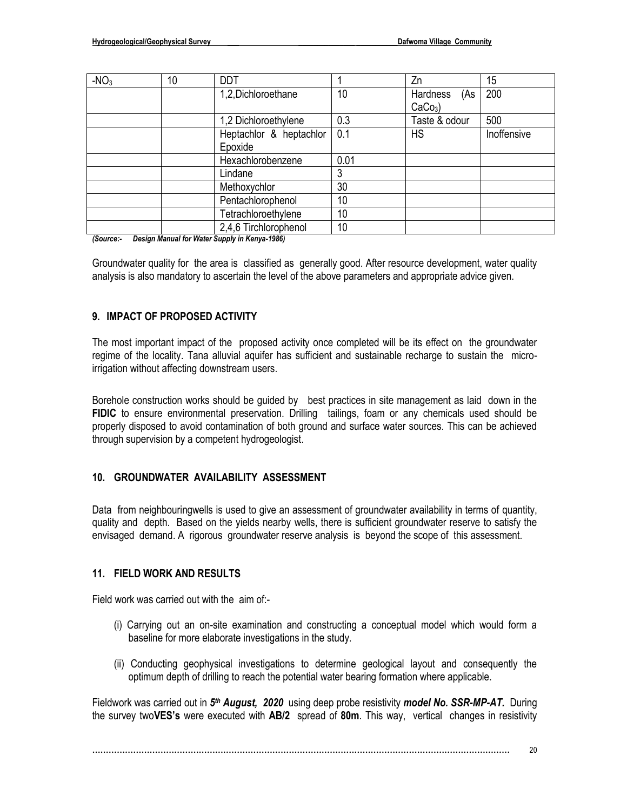| $-NO3$ | 10                           | <b>DDT</b>            |      | Zn              | 15          |
|--------|------------------------------|-----------------------|------|-----------------|-------------|
|        |                              | 1,2,Dichloroethane    | 10   | Hardness<br>(As | 200         |
|        |                              |                       |      | $CaCo3$ )       |             |
|        |                              | 1,2 Dichloroethylene  | 0.3  | Taste & odour   | 500         |
|        | Heptachlor & heptachlor      |                       | 0.1  | <b>HS</b>       | Inoffensive |
|        |                              | Epoxide               |      |                 |             |
|        | Hexachlorobenzene<br>Lindane |                       | 0.01 |                 |             |
|        |                              |                       | 3    |                 |             |
|        |                              | Methoxychlor          | 30   |                 |             |
|        |                              | Pentachlorophenol     | 10   |                 |             |
|        |                              | Tetrachloroethylene   | 10   |                 |             |
|        |                              | 2,4,6 Tirchlorophenol | 10   |                 |             |

*(Source:- Design Manual for Water Supply in Kenya-1986)* 

Groundwater quality for the area is classified as generally good. After resource development, water quality analysis is also mandatory to ascertain the level of the above parameters and appropriate advice given.

#### **9. IMPACT OF PROPOSED ACTIVITY**

The most important impact of the proposed activity once completed will be its effect on the groundwater regime of the locality. Tana alluvial aquifer has sufficient and sustainable recharge to sustain the microirrigation without affecting downstream users.

Borehole construction works should be guided by best practices in site management as laid down in the **FIDIC** to ensure environmental preservation. Drilling tailings, foam or any chemicals used should be properly disposed to avoid contamination of both ground and surface water sources. This can be achieved through supervision by a competent hydrogeologist.

#### **10. GROUNDWATER AVAILABILITY ASSESSMENT**

Data from neighbouringwells is used to give an assessment of groundwater availability in terms of quantity, quality and depth. Based on the yields nearby wells, there is sufficient groundwater reserve to satisfy the envisaged demand. A rigorous groundwater reserve analysis is beyond the scope of this assessment.

#### **11. FIELD WORK AND RESULTS**

Field work was carried out with the aim of:-

- (i) Carrying out an on-site examination and constructing a conceptual model which would form a baseline for more elaborate investigations in the study.
- (ii) Conducting geophysical investigations to determine geological layout and consequently the optimum depth of drilling to reach the potential water bearing formation where applicable.

Fieldwork was carried out in 5<sup>th</sup> August, 2020 using deep probe resistivity *model No. SSR-MP-AT.* During the survey two**VES's** were executed with **AB/2** spread of **80m**. This way, vertical changes in resistivity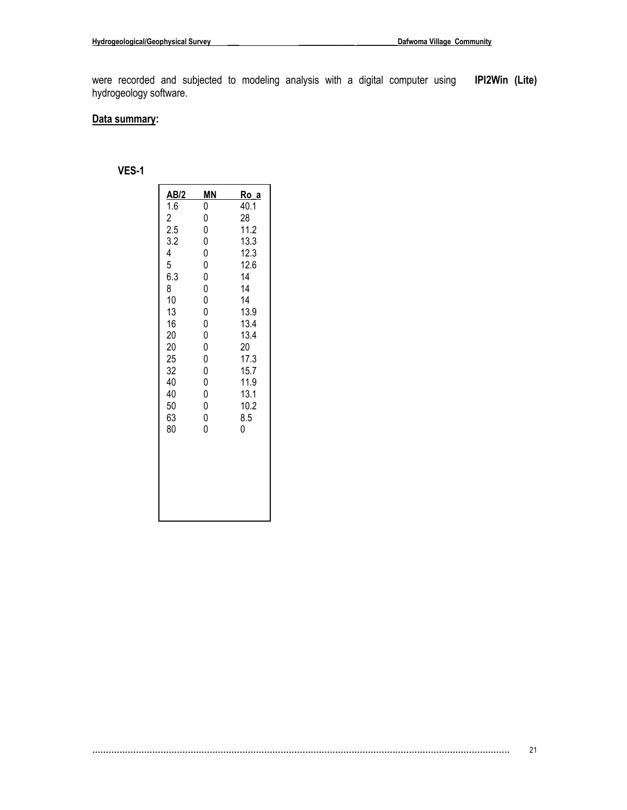were recorded and subjected to modeling analysis with a digital computer using **IPI2Win (Lite)** hydrogeology software.

#### **Data summary:**

## **VES-1**

|                                         | <u>MN</u>                            | <u>Ro_a</u> |
|-----------------------------------------|--------------------------------------|-------------|
| $\frac{\text{AB/2}}{1.6}$               | 0                                    | 40.1        |
| $\begin{array}{c} 2 \\ 2.5 \end{array}$ | $\mathbf{0}$                         | 28          |
|                                         | $\mathbf{0}$                         | 11.2        |
| 3.2                                     | $\overline{0}$                       | 13.3        |
| 4                                       | 000                                  | 12.3        |
| 5                                       |                                      | 12.6        |
| 6.3                                     |                                      | 14          |
| 8                                       | 0                                    | 14          |
| 10                                      | $\overline{0}$                       | 14          |
| 13                                      | $\overline{0}$                       | 13.9        |
| 16                                      | $\begin{matrix} 0 \\ 0 \end{matrix}$ | 13.4        |
| 20                                      |                                      | 13.4        |
| 20                                      | 0                                    | 20          |
| 25                                      | $\bar{0}$                            | 17.3        |
| 32                                      | $\overline{0}$                       | 15.7        |
| 40                                      | $0\atop 0$                           | 11.9        |
| 40                                      |                                      | 13.1        |
| 50                                      | $\overline{0}$                       | 10.2        |
| 63                                      | $\bar{0}$                            | 8.5         |
| 80                                      | $\overline{0}$                       | 0           |
|                                         |                                      |             |
|                                         |                                      |             |
|                                         |                                      |             |
|                                         |                                      |             |
|                                         |                                      |             |
|                                         |                                      |             |
|                                         |                                      |             |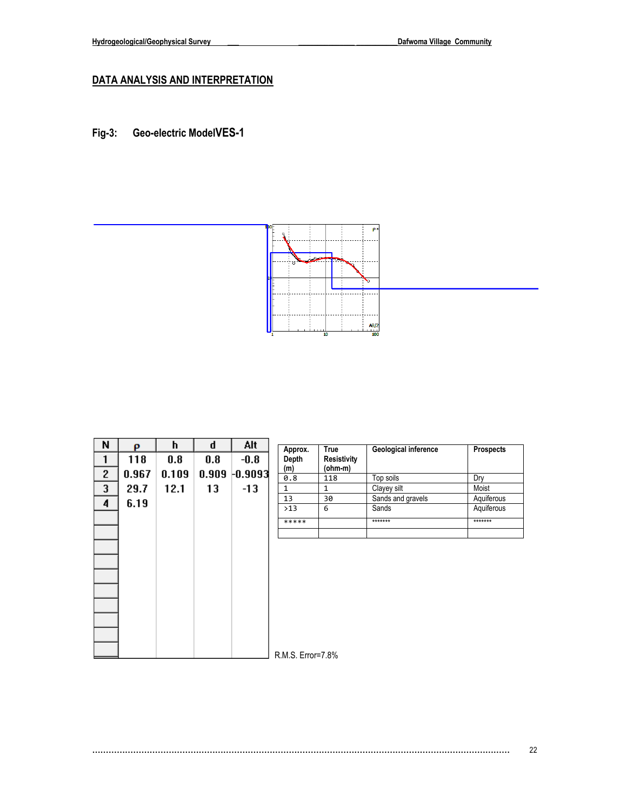## **DATA ANALYSIS AND INTERPRETATION**

**Fig-3: Geo-electric ModelVES-1**



| N            | ρ     | h     | d   | Alt              | Approx.           | True                          | Geological inference | <b>Prospects</b> |
|--------------|-------|-------|-----|------------------|-------------------|-------------------------------|----------------------|------------------|
| 1            | 118   | 0.8   | 0.8 | $-0.8$           | Depth<br>(m)      | <b>Resistivity</b><br>(ohm-m) |                      |                  |
| $\mathbf{2}$ | 0.967 | 0.109 |     | $0.909 - 0.9093$ | 0.8               | 118                           | Top soils            | Dry              |
| 3            | 29.7  | 12.1  | 13  | $-13$            | $\mathbf{1}$      | $\mathbf{1}$                  | Clayey silt          | Moist            |
| 4            | 6.19  |       |     |                  | 13                | 30                            | Sands and gravels    | Aquiferous       |
|              |       |       |     |                  | >13               | 6                             | Sands                | Aquiferous       |
|              |       |       |     |                  | *****             |                               | *******              | *******          |
|              |       |       |     |                  |                   |                               |                      |                  |
|              |       |       |     |                  |                   |                               |                      |                  |
|              |       |       |     |                  |                   |                               |                      |                  |
|              |       |       |     |                  |                   |                               |                      |                  |
|              |       |       |     |                  |                   |                               |                      |                  |
|              |       |       |     |                  |                   |                               |                      |                  |
|              |       |       |     |                  |                   |                               |                      |                  |
|              |       |       |     |                  |                   |                               |                      |                  |
|              |       |       |     |                  |                   |                               |                      |                  |
|              |       |       |     |                  | R.M.S. Error=7.8% |                               |                      |                  |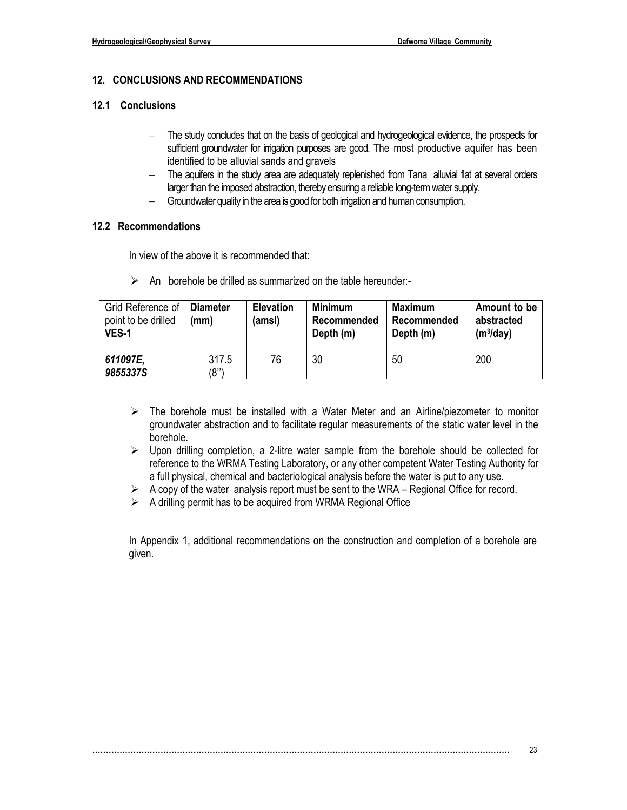#### **12. CONCLUSIONS AND RECOMMENDATIONS**

#### **12.1 Conclusions**

- − The study concludes that on the basis of geological and hydrogeological evidence, the prospects for sufficient groundwater for irrigation purposes are good. The most productive aquifer has been identified to be alluvial sands and gravels
- − The aquifers in the study area are adequately replenished from Tana alluvial flat at several orders larger than the imposed abstraction, thereby ensuring a reliable long-term water supply.
- − Groundwater quality in the area is good for both irrigation and human consumption.

#### **12.2 Recommendations**

In view of the above it is recommended that:

 $\triangleright$  An borehole be drilled as summarized on the table hereunder:-

| Grid Reference of<br>point to be drilled<br>VES-1 | <b>Diameter</b><br>(mm) | <b>Elevation</b><br>(amsl) | Minimum<br>Recommended<br>Depth (m) | Maximum<br>Recommended<br>Depth (m) | Amount to be<br>abstracted<br>(m <sup>3</sup> /day) |
|---------------------------------------------------|-------------------------|----------------------------|-------------------------------------|-------------------------------------|-----------------------------------------------------|
| 611097E,<br>9855337S                              | 317.5<br>(8'')          | 76                         | 30                                  | 50                                  | 200                                                 |

- $\triangleright$  The borehole must be installed with a Water Meter and an Airline/piezometer to monitor groundwater abstraction and to facilitate regular measurements of the static water level in the borehole.
- $\triangleright$  Upon drilling completion, a 2-litre water sample from the borehole should be collected for reference to the WRMA Testing Laboratory, or any other competent Water Testing Authority for a full physical, chemical and bacteriological analysis before the water is put to any use.
- ➢ A copy of the water analysis report must be sent to the WRA Regional Office for record.
- $\triangleright$  A drilling permit has to be acquired from WRMA Regional Office

In Appendix 1, additional recommendations on the construction and completion of a borehole are given.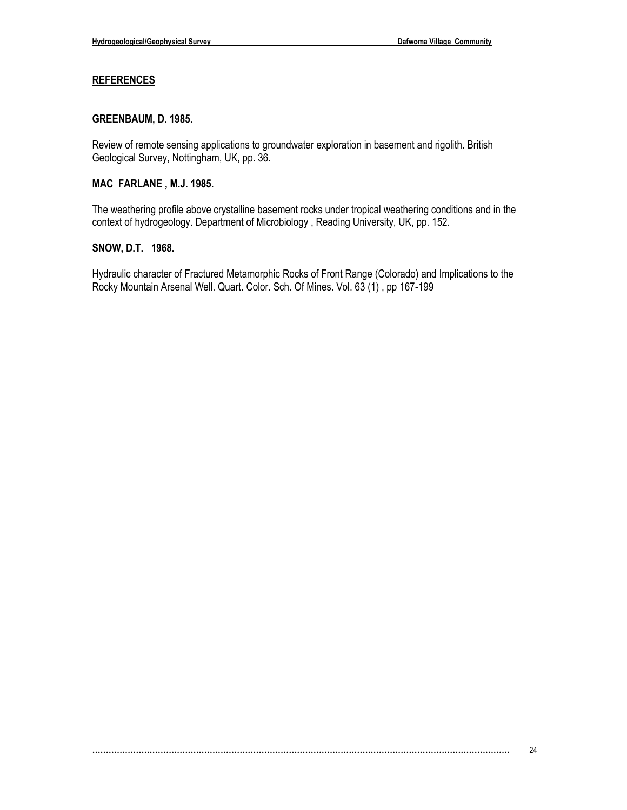#### **REFERENCES**

#### **GREENBAUM, D. 1985.**

Review of remote sensing applications to groundwater exploration in basement and rigolith. British Geological Survey, Nottingham, UK, pp. 36.

#### **MAC FARLANE , M.J. 1985.**

The weathering profile above crystalline basement rocks under tropical weathering conditions and in the context of hydrogeology. Department of Microbiology , Reading University, UK, pp. 152.

#### **SNOW, D.T. 1968.**

Hydraulic character of Fractured Metamorphic Rocks of Front Range (Colorado) and Implications to the Rocky Mountain Arsenal Well. Quart. Color. Sch. Of Mines. Vol. 63 (1) , pp 167-199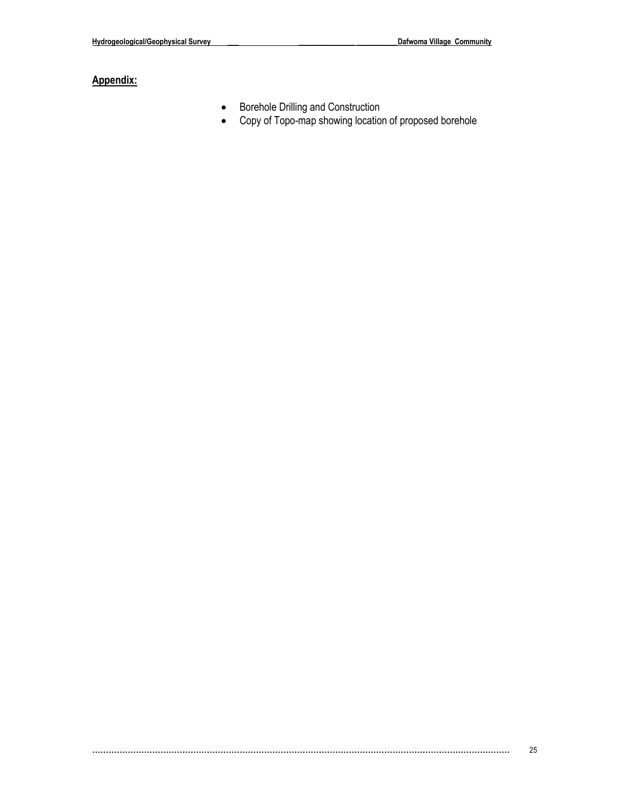## **Appendix:**

- Borehole Drilling and Construction
- Copy of Topo-map showing location of proposed borehole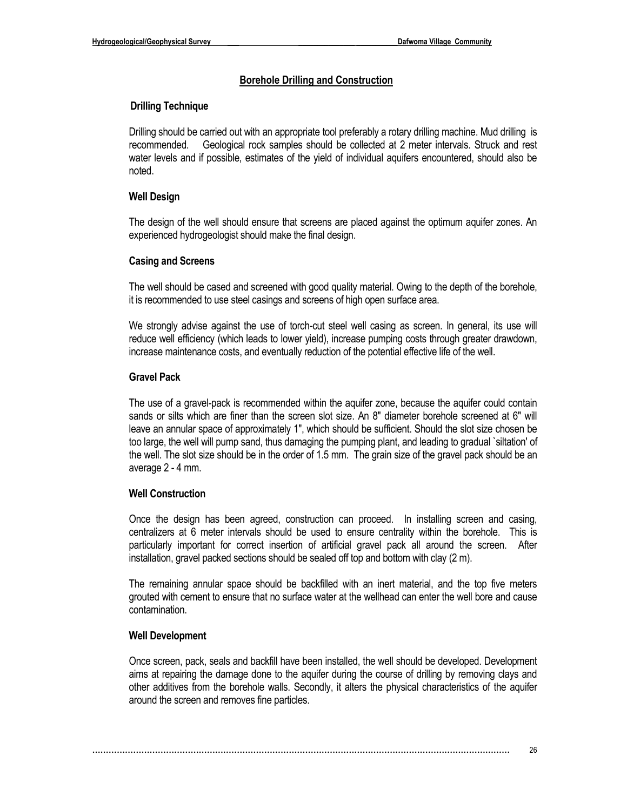#### **Borehole Drilling and Construction**

#### **Drilling Technique**

Drilling should be carried out with an appropriate tool preferably a rotary drilling machine. Mud drilling is recommended. Geological rock samples should be collected at 2 meter intervals. Struck and rest water levels and if possible, estimates of the yield of individual aquifers encountered, should also be noted.

#### **Well Design**

The design of the well should ensure that screens are placed against the optimum aquifer zones. An experienced hydrogeologist should make the final design.

#### **Casing and Screens**

The well should be cased and screened with good quality material. Owing to the depth of the borehole, it is recommended to use steel casings and screens of high open surface area.

We strongly advise against the use of torch-cut steel well casing as screen. In general, its use will reduce well efficiency (which leads to lower yield), increase pumping costs through greater drawdown, increase maintenance costs, and eventually reduction of the potential effective life of the well.

#### **Gravel Pack**

The use of a gravel-pack is recommended within the aquifer zone, because the aquifer could contain sands or silts which are finer than the screen slot size. An 8" diameter borehole screened at 6" will leave an annular space of approximately 1", which should be sufficient. Should the slot size chosen be too large, the well will pump sand, thus damaging the pumping plant, and leading to gradual `siltation' of the well. The slot size should be in the order of 1.5 mm. The grain size of the gravel pack should be an average 2 - 4 mm.

#### **Well Construction**

Once the design has been agreed, construction can proceed. In installing screen and casing, centralizers at 6 meter intervals should be used to ensure centrality within the borehole. This is particularly important for correct insertion of artificial gravel pack all around the screen. After installation, gravel packed sections should be sealed off top and bottom with clay (2 m).

The remaining annular space should be backfilled with an inert material, and the top five meters grouted with cement to ensure that no surface water at the wellhead can enter the well bore and cause contamination.

#### **Well Development**

Once screen, pack, seals and backfill have been installed, the well should be developed. Development aims at repairing the damage done to the aquifer during the course of drilling by removing clays and other additives from the borehole walls. Secondly, it alters the physical characteristics of the aquifer around the screen and removes fine particles.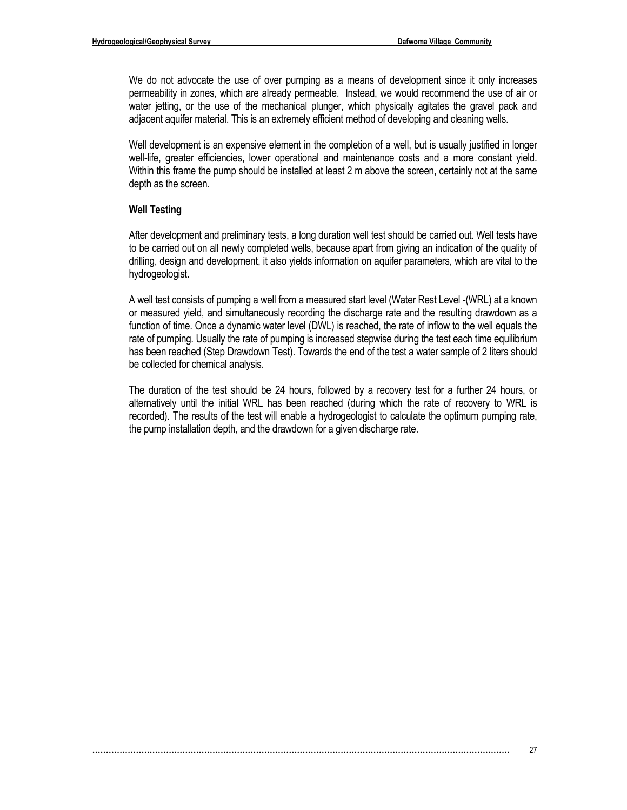We do not advocate the use of over pumping as a means of development since it only increases permeability in zones, which are already permeable. Instead, we would recommend the use of air or water jetting, or the use of the mechanical plunger, which physically agitates the gravel pack and adjacent aquifer material. This is an extremely efficient method of developing and cleaning wells.

Well development is an expensive element in the completion of a well, but is usually justified in longer well-life, greater efficiencies, lower operational and maintenance costs and a more constant yield. Within this frame the pump should be installed at least 2 m above the screen, certainly not at the same depth as the screen.

#### **Well Testing**

After development and preliminary tests, a long duration well test should be carried out. Well tests have to be carried out on all newly completed wells, because apart from giving an indication of the quality of drilling, design and development, it also yields information on aquifer parameters, which are vital to the hydrogeologist.

A well test consists of pumping a well from a measured start level (Water Rest Level -(WRL) at a known or measured yield, and simultaneously recording the discharge rate and the resulting drawdown as a function of time. Once a dynamic water level (DWL) is reached, the rate of inflow to the well equals the rate of pumping. Usually the rate of pumping is increased stepwise during the test each time equilibrium has been reached (Step Drawdown Test). Towards the end of the test a water sample of 2 liters should be collected for chemical analysis.

The duration of the test should be 24 hours, followed by a recovery test for a further 24 hours, or alternatively until the initial WRL has been reached (during which the rate of recovery to WRL is recorded). The results of the test will enable a hydrogeologist to calculate the optimum pumping rate, the pump installation depth, and the drawdown for a given discharge rate.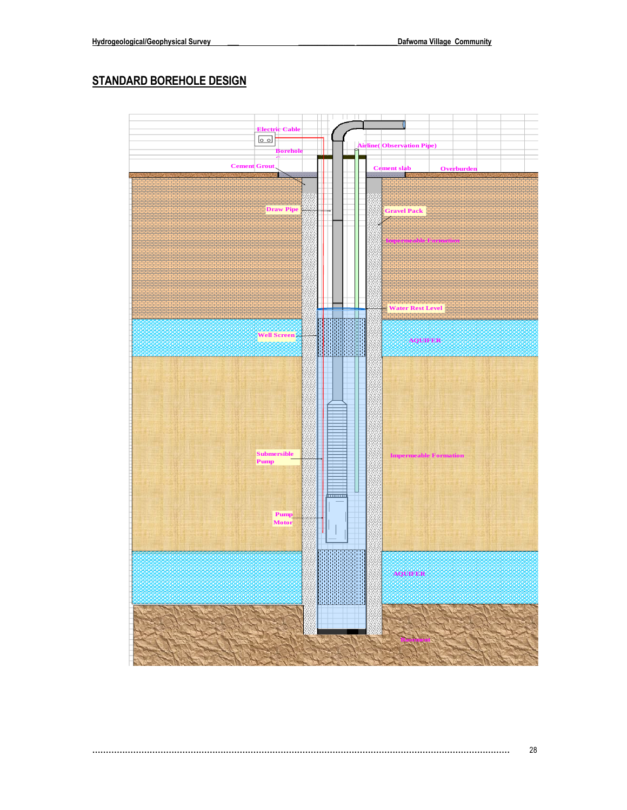## **STANDARD BOREHOLE DESIGN**